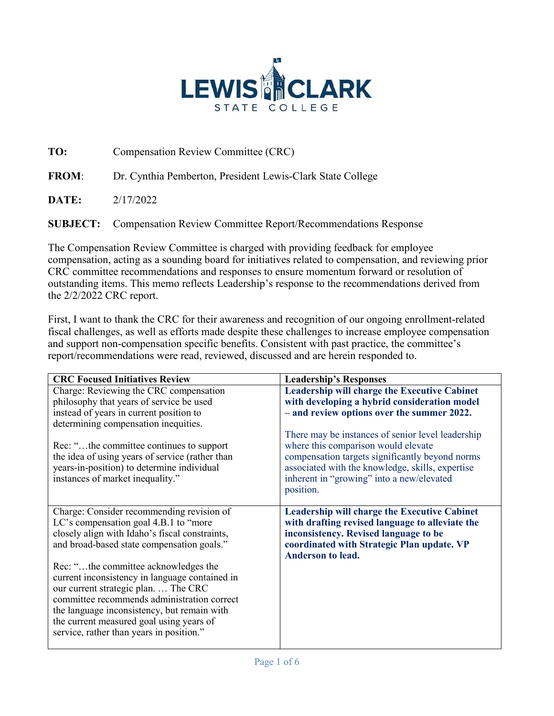

**TO:** Compensation Review Committee (CRC)

**FROM**: Dr. Cynthia Pemberton, President Lewis-Clark State College

**DATE:** 2/17/2022

**SUBJECT:** Compensation Review Committee Report/Recommendations Response

The Compensation Review Committee is charged with providing feedback for employee compensation, acting as a sounding board for initiatives related to compensation, and reviewing prior CRC committee recommendations and responses to ensure momentum forward or resolution of outstanding items. This memo reflects Leadership's response to the recommendations derived from the 2/2/2022 CRC report.

First, I want to thank the CRC for their awareness and recognition of our ongoing enrollment-related fiscal challenges, as well as efforts made despite these challenges to increase employee compensation and support non-compensation specific benefits. Consistent with past practice, the committee's report/recommendations were read, reviewed, discussed and are herein responded to.

| <b>Leadership's Responses</b>                                                                                                                                                                                                                             |
|-----------------------------------------------------------------------------------------------------------------------------------------------------------------------------------------------------------------------------------------------------------|
| <b>Leadership will charge the Executive Cabinet</b>                                                                                                                                                                                                       |
| with developing a hybrid consideration model                                                                                                                                                                                                              |
| - and review options over the summer 2022.                                                                                                                                                                                                                |
|                                                                                                                                                                                                                                                           |
| There may be instances of senior level leadership<br>where this comparison would elevate<br>compensation targets significantly beyond norms<br>associated with the knowledge, skills, expertise<br>inherent in "growing" into a new/elevated<br>position. |
| <b>Leadership will charge the Executive Cabinet</b>                                                                                                                                                                                                       |
| with drafting revised language to alleviate the                                                                                                                                                                                                           |
| inconsistency. Revised language to be                                                                                                                                                                                                                     |
| coordinated with Strategic Plan update. VP<br><b>Anderson to lead.</b>                                                                                                                                                                                    |
|                                                                                                                                                                                                                                                           |
|                                                                                                                                                                                                                                                           |
|                                                                                                                                                                                                                                                           |
|                                                                                                                                                                                                                                                           |
|                                                                                                                                                                                                                                                           |
|                                                                                                                                                                                                                                                           |
|                                                                                                                                                                                                                                                           |
|                                                                                                                                                                                                                                                           |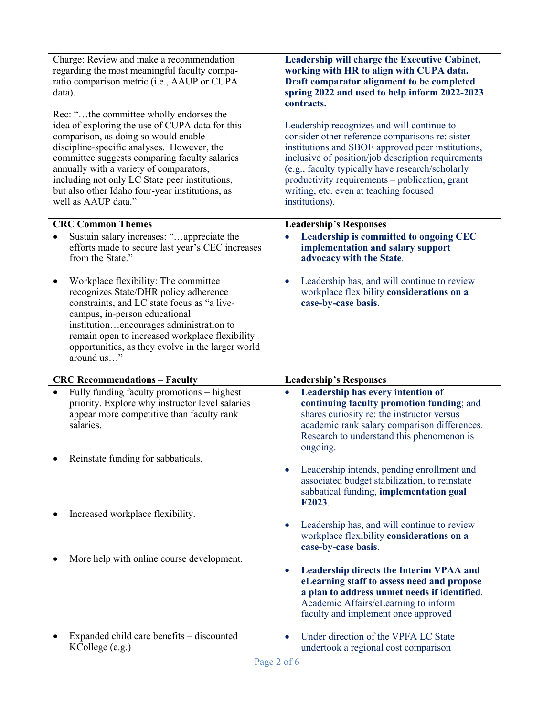| data).    | Charge: Review and make a recommendation<br>regarding the most meaningful faculty compa-<br>ratio comparison metric (i.e., AAUP or CUPA<br>Rec: "the committee wholly endorses the                                                                                                                                                                            | Leadership will charge the Executive Cabinet,<br>working with HR to align with CUPA data.<br>Draft comparator alignment to be completed<br>spring 2022 and used to help inform 2022-2023<br>contracts.                                                                                                                                                                     |
|-----------|---------------------------------------------------------------------------------------------------------------------------------------------------------------------------------------------------------------------------------------------------------------------------------------------------------------------------------------------------------------|----------------------------------------------------------------------------------------------------------------------------------------------------------------------------------------------------------------------------------------------------------------------------------------------------------------------------------------------------------------------------|
|           | idea of exploring the use of CUPA data for this<br>comparison, as doing so would enable<br>discipline-specific analyses. However, the<br>committee suggests comparing faculty salaries<br>annually with a variety of comparators,<br>including not only LC State peer institutions,<br>but also other Idaho four-year institutions, as<br>well as AAUP data." | Leadership recognizes and will continue to<br>consider other reference comparisons re: sister<br>institutions and SBOE approved peer institutions,<br>inclusive of position/job description requirements<br>(e.g., faculty typically have research/scholarly<br>productivity requirements - publication, grant<br>writing, etc. even at teaching focused<br>institutions). |
|           | <b>CRC Common Themes</b>                                                                                                                                                                                                                                                                                                                                      | <b>Leadership's Responses</b>                                                                                                                                                                                                                                                                                                                                              |
|           | Sustain salary increases: "appreciate the<br>efforts made to secure last year's CEC increases<br>from the State."                                                                                                                                                                                                                                             | Leadership is committed to ongoing CEC<br>$\bullet$<br>implementation and salary support<br>advocacy with the State.                                                                                                                                                                                                                                                       |
| $\bullet$ | Workplace flexibility: The committee<br>recognizes State/DHR policy adherence<br>constraints, and LC state focus as "a live-<br>campus, in-person educational<br>institutionencourages administration to<br>remain open to increased workplace flexibility<br>opportunities, as they evolve in the larger world<br>around us"                                 | Leadership has, and will continue to review<br>$\bullet$<br>workplace flexibility considerations on a<br>case-by-case basis.                                                                                                                                                                                                                                               |
|           | <b>CRC Recommendations - Faculty</b>                                                                                                                                                                                                                                                                                                                          | <b>Leadership's Responses</b>                                                                                                                                                                                                                                                                                                                                              |
|           | Fully funding faculty promotions = highest<br>priority. Explore why instructor level salaries<br>appear more competitive than faculty rank<br>salaries.                                                                                                                                                                                                       | Leadership has every intention of<br>continuing faculty promotion funding; and<br>shares curiosity re: the instructor versus<br>academic rank salary comparison differences.<br>Research to understand this phenomenon is<br>ongoing.                                                                                                                                      |
|           | Reinstate funding for sabbaticals.                                                                                                                                                                                                                                                                                                                            |                                                                                                                                                                                                                                                                                                                                                                            |
|           |                                                                                                                                                                                                                                                                                                                                                               | Leadership intends, pending enrollment and<br>associated budget stabilization, to reinstate<br>sabbatical funding, implementation goal<br>F2023.                                                                                                                                                                                                                           |
|           | Increased workplace flexibility.                                                                                                                                                                                                                                                                                                                              | Leadership has, and will continue to review<br>workplace flexibility considerations on a<br>case-by-case basis.                                                                                                                                                                                                                                                            |
|           | More help with online course development.                                                                                                                                                                                                                                                                                                                     | <b>Leadership directs the Interim VPAA and</b><br>eLearning staff to assess need and propose<br>a plan to address unmet needs if identified.<br>Academic Affairs/eLearning to inform<br>faculty and implement once approved                                                                                                                                                |
|           | Expanded child care benefits - discounted<br>KCollege (e.g.)                                                                                                                                                                                                                                                                                                  | Under direction of the VPFA LC State<br>undertook a regional cost comparison                                                                                                                                                                                                                                                                                               |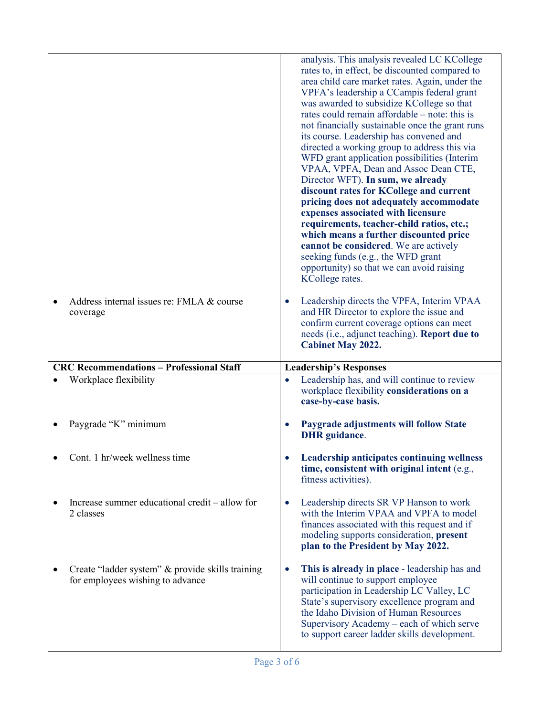|           |                                                             | analysis. This analysis revealed LC KCollege<br>rates to, in effect, be discounted compared to<br>area child care market rates. Again, under the<br>VPFA's leadership a CCampis federal grant<br>was awarded to subsidize KCollege so that<br>rates could remain affordable – note: this is<br>not financially sustainable once the grant runs<br>its course. Leadership has convened and<br>directed a working group to address this via<br>WFD grant application possibilities (Interim<br>VPAA, VPFA, Dean and Assoc Dean CTE,<br>Director WFT). In sum, we already<br>discount rates for KCollege and current<br>pricing does not adequately accommodate<br>expenses associated with licensure<br>requirements, teacher-child ratios, etc.;<br>which means a further discounted price<br>cannot be considered. We are actively<br>seeking funds (e.g., the WFD grant<br>opportunity) so that we can avoid raising<br>KCollege rates. |
|-----------|-------------------------------------------------------------|------------------------------------------------------------------------------------------------------------------------------------------------------------------------------------------------------------------------------------------------------------------------------------------------------------------------------------------------------------------------------------------------------------------------------------------------------------------------------------------------------------------------------------------------------------------------------------------------------------------------------------------------------------------------------------------------------------------------------------------------------------------------------------------------------------------------------------------------------------------------------------------------------------------------------------------|
| $\bullet$ | Address internal issues re: FMLA & course<br>coverage       | Leadership directs the VPFA, Interim VPAA<br>$\bullet$<br>and HR Director to explore the issue and<br>confirm current coverage options can meet<br>needs (i.e., adjunct teaching). Report due to<br><b>Cabinet May 2022.</b>                                                                                                                                                                                                                                                                                                                                                                                                                                                                                                                                                                                                                                                                                                             |
|           | <b>CRC Recommendations - Professional Staff</b>             |                                                                                                                                                                                                                                                                                                                                                                                                                                                                                                                                                                                                                                                                                                                                                                                                                                                                                                                                          |
|           |                                                             |                                                                                                                                                                                                                                                                                                                                                                                                                                                                                                                                                                                                                                                                                                                                                                                                                                                                                                                                          |
|           | Workplace flexibility                                       | <b>Leadership's Responses</b><br>Leadership has, and will continue to review<br>workplace flexibility considerations on a<br>case-by-case basis.                                                                                                                                                                                                                                                                                                                                                                                                                                                                                                                                                                                                                                                                                                                                                                                         |
|           | Paygrade "K" minimum                                        | Paygrade adjustments will follow State<br><b>DHR</b> guidance.                                                                                                                                                                                                                                                                                                                                                                                                                                                                                                                                                                                                                                                                                                                                                                                                                                                                           |
|           | Cont. 1 hr/week wellness time                               | Leadership anticipates continuing wellness<br>time, consistent with original intent (e.g.,<br>fitness activities).                                                                                                                                                                                                                                                                                                                                                                                                                                                                                                                                                                                                                                                                                                                                                                                                                       |
|           | Increase summer educational credit – allow for<br>2 classes | Leadership directs SR VP Hanson to work<br>٠<br>with the Interim VPAA and VPFA to model<br>finances associated with this request and if<br>modeling supports consideration, present<br>plan to the President by May 2022.                                                                                                                                                                                                                                                                                                                                                                                                                                                                                                                                                                                                                                                                                                                |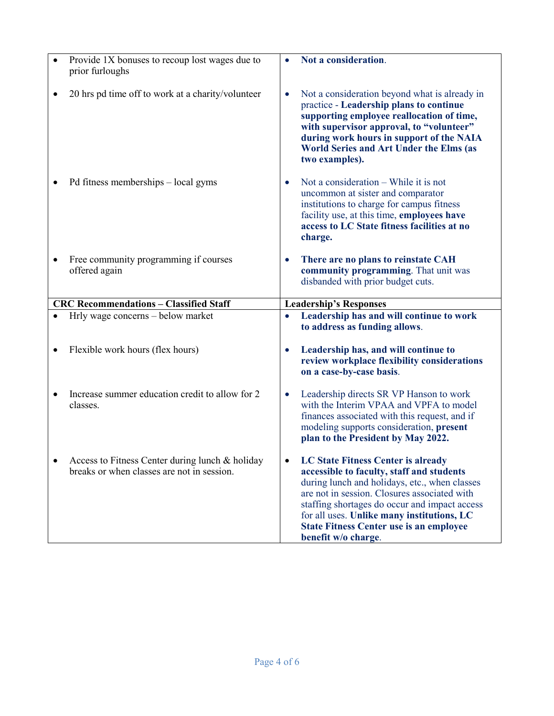| Provide 1X bonuses to recoup lost wages due to<br>prior furloughs | Not a consideration.                                                                                                                                                                                                                                                                                           |
|-------------------------------------------------------------------|----------------------------------------------------------------------------------------------------------------------------------------------------------------------------------------------------------------------------------------------------------------------------------------------------------------|
| 20 hrs pd time off to work at a charity/volunteer                 | Not a consideration beyond what is already in<br>$\bullet$<br>practice - Leadership plans to continue<br>supporting employee reallocation of time,<br>with supervisor approval, to "volunteer"<br>during work hours in support of the NAIA<br><b>World Series and Art Under the Elms (as</b><br>two examples). |
| Pd fitness memberships – local gyms                               | Not a consideration – While it is not<br>$\bullet$<br>uncommon at sister and comparator<br>institutions to charge for campus fitness<br>facility use, at this time, employees have<br>access to LC State fitness facilities at no<br>charge.                                                                   |
| Free community programming if courses<br>offered again            | There are no plans to reinstate CAH<br>$\bullet$<br>community programming. That unit was<br>disbanded with prior budget cuts.                                                                                                                                                                                  |
| <b>CRC Recommendations - Classified Staff</b>                     | <b>Leadership's Responses</b>                                                                                                                                                                                                                                                                                  |
| Hrly wage concerns - below market                                 | Leadership has and will continue to work<br>$\bullet$                                                                                                                                                                                                                                                          |
|                                                                   | to address as funding allows.                                                                                                                                                                                                                                                                                  |
| Flexible work hours (flex hours)                                  | Leadership has, and will continue to<br>$\bullet$<br>review workplace flexibility considerations<br>on a case-by-case basis.                                                                                                                                                                                   |
| Increase summer education credit to allow for 2<br>classes.       | Leadership directs SR VP Hanson to work<br>$\bullet$<br>with the Interim VPAA and VPFA to model<br>finances associated with this request, and if<br>modeling supports consideration, present<br>plan to the President by May 2022.                                                                             |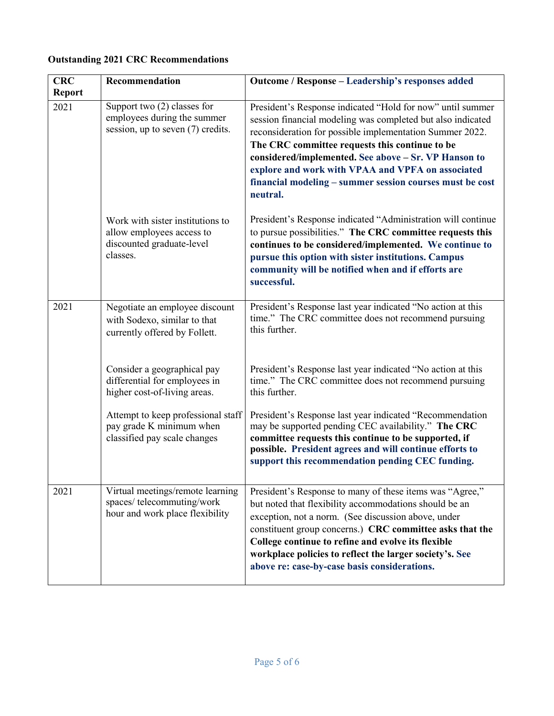## **Outstanding 2021 CRC Recommendations**

| <b>CRC</b>            | Recommendation                                                                                         | Outcome / Response - Leadership's responses added                                                                                                                                                                                                                                                                                                                                                                            |
|-----------------------|--------------------------------------------------------------------------------------------------------|------------------------------------------------------------------------------------------------------------------------------------------------------------------------------------------------------------------------------------------------------------------------------------------------------------------------------------------------------------------------------------------------------------------------------|
| <b>Report</b><br>2021 | Support two $(2)$ classes for<br>employees during the summer<br>session, up to seven (7) credits.      | President's Response indicated "Hold for now" until summer<br>session financial modeling was completed but also indicated<br>reconsideration for possible implementation Summer 2022.<br>The CRC committee requests this continue to be<br>considered/implemented. See above - Sr. VP Hanson to<br>explore and work with VPAA and VPFA on associated<br>financial modeling - summer session courses must be cost<br>neutral. |
|                       | Work with sister institutions to<br>allow employees access to<br>discounted graduate-level<br>classes. | President's Response indicated "Administration will continue<br>to pursue possibilities." The CRC committee requests this<br>continues to be considered/implemented. We continue to<br>pursue this option with sister institutions. Campus<br>community will be notified when and if efforts are<br>successful.                                                                                                              |
| 2021                  | Negotiate an employee discount<br>with Sodexo, similar to that<br>currently offered by Follett.        | President's Response last year indicated "No action at this<br>time." The CRC committee does not recommend pursuing<br>this further.                                                                                                                                                                                                                                                                                         |
|                       | Consider a geographical pay<br>differential for employees in<br>higher cost-of-living areas.           | President's Response last year indicated "No action at this<br>time." The CRC committee does not recommend pursuing<br>this further.                                                                                                                                                                                                                                                                                         |
|                       | Attempt to keep professional staff<br>pay grade K minimum when<br>classified pay scale changes         | President's Response last year indicated "Recommendation<br>may be supported pending CEC availability." The CRC<br>committee requests this continue to be supported, if<br>possible. President agrees and will continue efforts to<br>support this recommendation pending CEC funding.                                                                                                                                       |
| 2021                  | Virtual meetings/remote learning<br>spaces/telecommuting/work<br>hour and work place flexibility       | President's Response to many of these items was "Agree,"<br>but noted that flexibility accommodations should be an<br>exception, not a norm. (See discussion above, under<br>constituent group concerns.) CRC committee asks that the<br>College continue to refine and evolve its flexible<br>workplace policies to reflect the larger society's. See<br>above re: case-by-case basis considerations.                       |